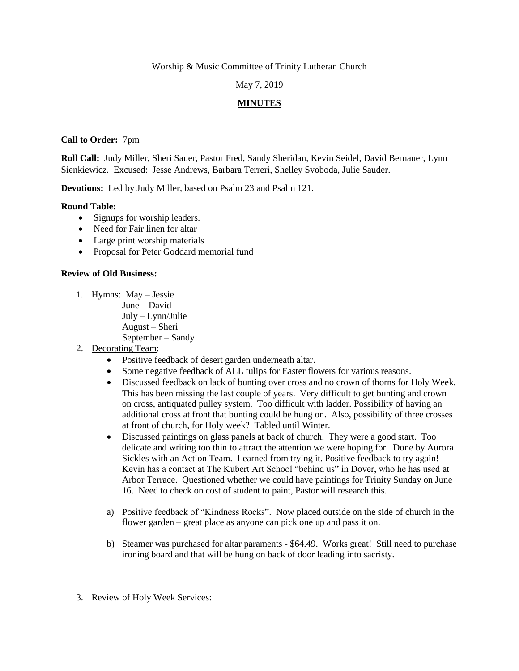Worship & Music Committee of Trinity Lutheran Church

### May 7, 2019

# **MINUTES**

**Call to Order:** 7pm

**Roll Call:** Judy Miller, Sheri Sauer, Pastor Fred, Sandy Sheridan, Kevin Seidel, David Bernauer, Lynn Sienkiewicz. Excused: Jesse Andrews, Barbara Terreri, Shelley Svoboda, Julie Sauder.

**Devotions:** Led by Judy Miller, based on Psalm 23 and Psalm 121.

#### **Round Table:**

- Signups for worship leaders.
- Need for Fair linen for altar
- Large print worship materials
- Proposal for Peter Goddard memorial fund

#### **Review of Old Business:**

- 1. Hymns: May Jessie
	- June David

July – Lynn/Julie

- August Sheri
- September Sandy
- 2. Decorating Team:
	- Positive feedback of desert garden underneath altar.
	- Some negative feedback of ALL tulips for Easter flowers for various reasons.
	- Discussed feedback on lack of bunting over cross and no crown of thorns for Holy Week. This has been missing the last couple of years. Very difficult to get bunting and crown on cross, antiquated pulley system. Too difficult with ladder. Possibility of having an additional cross at front that bunting could be hung on. Also, possibility of three crosses at front of church, for Holy week? Tabled until Winter.
	- Discussed paintings on glass panels at back of church. They were a good start. Too delicate and writing too thin to attract the attention we were hoping for. Done by Aurora Sickles with an Action Team. Learned from trying it. Positive feedback to try again! Kevin has a contact at The Kubert Art School "behind us" in Dover, who he has used at Arbor Terrace. Questioned whether we could have paintings for Trinity Sunday on June 16. Need to check on cost of student to paint, Pastor will research this.
	- a) Positive feedback of "Kindness Rocks". Now placed outside on the side of church in the flower garden – great place as anyone can pick one up and pass it on.
	- b) Steamer was purchased for altar paraments \$64.49. Works great! Still need to purchase ironing board and that will be hung on back of door leading into sacristy.
- 3. Review of Holy Week Services: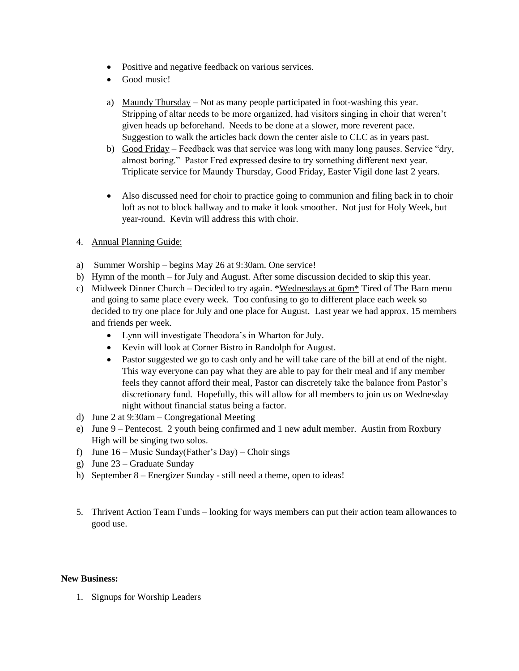- Positive and negative feedback on various services.
- Good music!
- a) Maundy Thursday Not as many people participated in foot-washing this year. Stripping of altar needs to be more organized, had visitors singing in choir that weren't given heads up beforehand. Needs to be done at a slower, more reverent pace. Suggestion to walk the articles back down the center aisle to CLC as in years past.
- b) Good Friday Feedback was that service was long with many long pauses. Service "dry, almost boring." Pastor Fred expressed desire to try something different next year. Triplicate service for Maundy Thursday, Good Friday, Easter Vigil done last 2 years.
- Also discussed need for choir to practice going to communion and filing back in to choir loft as not to block hallway and to make it look smoother. Not just for Holy Week, but year-round. Kevin will address this with choir.
- 4. Annual Planning Guide:
- a) Summer Worship begins May 26 at 9:30am. One service!
- b) Hymn of the month for July and August. After some discussion decided to skip this year.
- c) Midweek Dinner Church Decided to try again. \*Wednesdays at  $6\text{pm}^*$  Tired of The Barn menu and going to same place every week. Too confusing to go to different place each week so decided to try one place for July and one place for August. Last year we had approx. 15 members and friends per week.
	- Lynn will investigate Theodora's in Wharton for July.
	- Kevin will look at Corner Bistro in Randolph for August.
	- Pastor suggested we go to cash only and he will take care of the bill at end of the night. This way everyone can pay what they are able to pay for their meal and if any member feels they cannot afford their meal, Pastor can discretely take the balance from Pastor's discretionary fund. Hopefully, this will allow for all members to join us on Wednesday night without financial status being a factor.
- d) June 2 at 9:30am Congregational Meeting
- e) June 9 Pentecost. 2 youth being confirmed and 1 new adult member. Austin from Roxbury High will be singing two solos.
- f) June  $16$  Music Sunday(Father's Day) Choir sings
- g) June 23 Graduate Sunday
- h) September 8 Energizer Sunday still need a theme, open to ideas!
- 5. Thrivent Action Team Funds looking for ways members can put their action team allowances to good use.

#### **New Business:**

1. Signups for Worship Leaders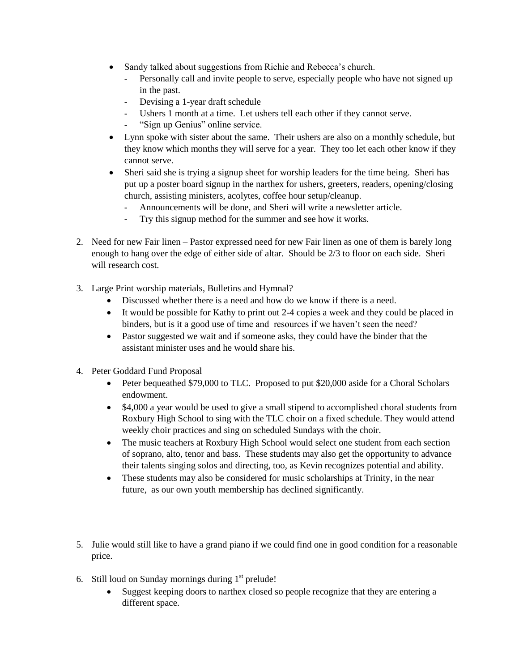- Sandy talked about suggestions from Richie and Rebecca's church.
	- Personally call and invite people to serve, especially people who have not signed up in the past.
	- Devising a 1-year draft schedule
	- Ushers 1 month at a time. Let ushers tell each other if they cannot serve.
	- "Sign up Genius" online service.
- Lynn spoke with sister about the same. Their ushers are also on a monthly schedule, but they know which months they will serve for a year. They too let each other know if they cannot serve.
- Sheri said she is trying a signup sheet for worship leaders for the time being. Sheri has put up a poster board signup in the narthex for ushers, greeters, readers, opening/closing church, assisting ministers, acolytes, coffee hour setup/cleanup.
	- Announcements will be done, and Sheri will write a newsletter article.
	- Try this signup method for the summer and see how it works.
- 2. Need for new Fair linen Pastor expressed need for new Fair linen as one of them is barely long enough to hang over the edge of either side of altar. Should be 2/3 to floor on each side. Sheri will research cost.
- 3. Large Print worship materials, Bulletins and Hymnal?
	- Discussed whether there is a need and how do we know if there is a need.
	- It would be possible for Kathy to print out 2-4 copies a week and they could be placed in binders, but is it a good use of time and resources if we haven't seen the need?
	- Pastor suggested we wait and if someone asks, they could have the binder that the assistant minister uses and he would share his.
- 4. Peter Goddard Fund Proposal
	- Peter bequeathed \$79,000 to TLC. Proposed to put \$20,000 aside for a Choral Scholars endowment.
	- \$4,000 a year would be used to give a small stipend to accomplished choral students from Roxbury High School to sing with the TLC choir on a fixed schedule. They would attend weekly choir practices and sing on scheduled Sundays with the choir.
	- The music teachers at Roxbury High School would select one student from each section of soprano, alto, tenor and bass. These students may also get the opportunity to advance their talents singing solos and directing, too, as Kevin recognizes potential and ability.
	- These students may also be considered for music scholarships at Trinity, in the near future, as our own youth membership has declined significantly.
- 5. Julie would still like to have a grand piano if we could find one in good condition for a reasonable price.
- 6. Still loud on Sunday mornings during  $1<sup>st</sup>$  prelude!
	- Suggest keeping doors to narthex closed so people recognize that they are entering a different space.